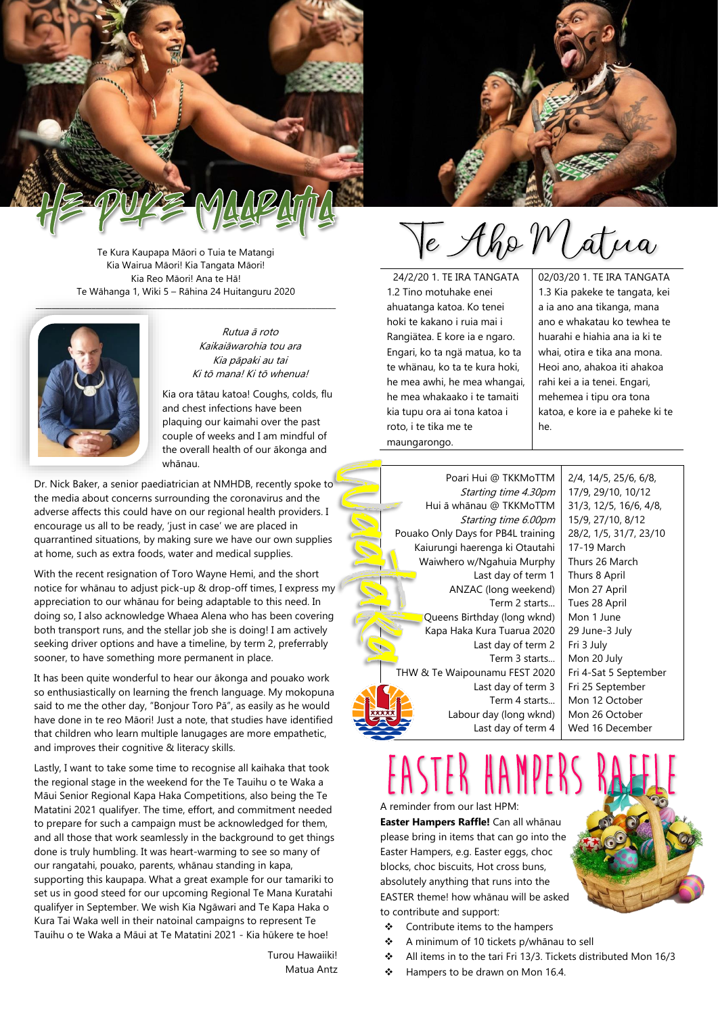

Te Kura Kaupapa Māori o Tuia te Matangi Kia Wairua Māori! Kia Tangata Māori! Kia Reo Māori! Ana te Hā! Te Wāhanga 1, Wiki 5 – Rāhina 24 Huitanguru 2020



Rutua ā roto Kaikaiāwarohia tou ara Kia pāpaki au tai Ki tō mana! Ki tō whenua!

Kia ora tātau katoa! Coughs, colds, flu and chest infections have been plaquing our kaimahi over the past couple of weeks and I am mindful of the overall health of our ākonga and whānau.

Dr. Nick Baker, a senior paediatrician at NMHDB, recently spoke to the media about concerns surrounding the coronavirus and the adverse affects this could have on our regional health providers. I encourage us all to be ready, 'just in case' we are placed in quarrantined situations, by making sure we have our own supplies at home, such as extra foods, water and medical supplies.

With the recent resignation of Toro Wayne Hemi, and the short notice for whānau to adjust pick-up & drop-off times. I express my appreciation to our whānau for being adaptable to this need. In doing so, I also acknowledge Whaea Alena who has been covering both transport runs, and the stellar job she is doing! I am actively seeking driver options and have a timeline, by term 2, preferrably sooner, to have something more permanent in place.

It has been quite wonderful to hear our ākonga and pouako work so enthusiastically on learning the french language. My mokopuna said to me the other day, "Bonjour Toro Pā", as easily as he would have done in te reo Māori! Just a note, that studies have identified that children who learn multiple lanugages are more empathetic, and improves their cognitive & literacy skills.

Lastly, I want to take some time to recognise all kaihaka that took the regional stage in the weekend for the Te Tauihu o te Waka a Māui Senior Regional Kapa Haka Competitions, also being the Te Matatini 2021 qualifyer. The time, effort, and commitment needed to prepare for such a campaign must be acknowledged for them, and all those that work seamlessly in the background to get things done is truly humbling. It was heart-warming to see so many of our rangatahi, pouako, parents, whānau standing in kapa, supporting this kaupapa. What a great example for our tamariki to set us in good steed for our upcoming Regional Te Mana Kuratahi qualifyer in September. We wish Kia Ngāwari and Te Kapa Haka o Kura Tai Waka well in their natoinal campaigns to represent Te Tauihu o te Waka a Māui at Te Matatini 2021 - Kia hūkere te hoe!

> Turou Hawaiiki! Matua Antz



E Aho Matua

24/2/20 1. TE IRA TANGATA 1.2 Tino motuhake enei ahuatanga katoa. Ko tenei hoki te kakano i ruia mai i Rangiätea. E kore ia e ngaro. Engari, ko ta ngä matua, ko ta te whänau, ko ta te kura hoki, he mea awhi, he mea whangai, he mea whakaako i te tamaiti kia tupu ora ai tona katoa i roto, i te tika me te maungarongo.

02/03/20 1. TE IRA TANGATA 1.3 Kia pakeke te tangata, kei a ia ano ana tikanga, mana ano e whakatau ko tewhea te huarahi e hiahia ana ia ki te whai, otira e tika ana mona. Heoi ano, ahakoa iti ahakoa rahi kei a ia tenei. Engari, mehemea i tipu ora tona katoa, e kore ia e paheke ki te he.

Poari Hui @ TKKMoTTM Starting time 4.30pm Hui ā whānau @ TKKMoTTM Starting time 6.00pm Pouako Only Days for PB4L training Kaiurungi haerenga ki Otautahi Waiwhero w/Ngahuia Murphy Last day of term 1 ANZAC (long weekend) Term 2 starts... Queens Birthday (long wknd) Kapa Haka Kura Tuarua 2020 Last day of term 2 Term 3 starts... THW & Te Waipounamu FEST 2020 Last day of term 3 Term 4 starts... Labour day (long wknd) Last day of term 4

2/4, 14/5, 25/6, 6/8, 17/9, 29/10, 10/12 31/3, 12/5, 16/6, 4/8, 15/9, 27/10, 8/12 28/2, 1/5, 31/7, 23/10 17-19 March Thurs 26 March Thurs 8 April Mon 27 April Tues 28 April Mon 1 June 29 June-3 July Fri 3 July Mon 20 July Fri 4-Sat 5 September Fri 25 September Mon 12 October Mon 26 October Wed 16 December

A reminder from our last HPM: **Easter Hampers Raffle!** Can all whānau please bring in items that can go into the Easter Hampers, e.g. Easter eggs, choc blocks, choc biscuits, Hot cross buns, absolutely anything that runs into the EASTER theme! how whānau will be asked to contribute and support:

- ❖ Contribute items to the hampers
- ❖ A minimum of 10 tickets p/whānau to sell
- ❖ All items in to the tari Fri 13/3. Tickets distributed Mon 16/3
- Hampers to be drawn on Mon 16.4.